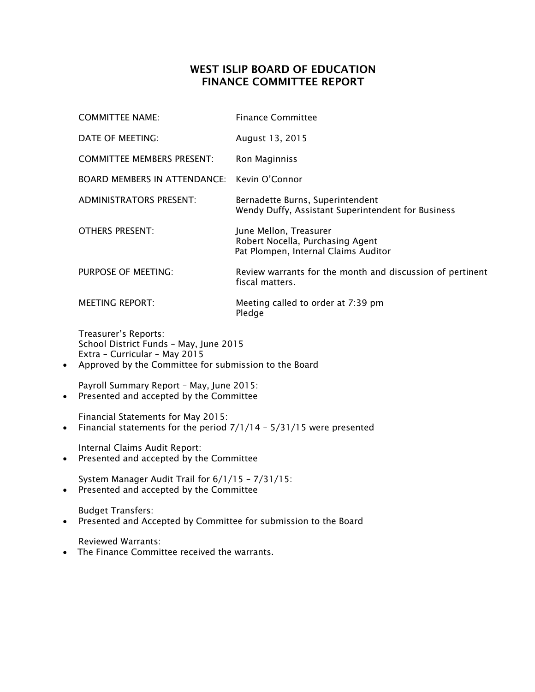## WEST ISLIP BOARD OF EDUCATION FINANCE COMMITTEE REPORT

|           | <b>COMMITTEE NAME:</b>                                                                                                                                   | <b>Finance Committee</b>                                                                           |
|-----------|----------------------------------------------------------------------------------------------------------------------------------------------------------|----------------------------------------------------------------------------------------------------|
|           | DATE OF MEETING:                                                                                                                                         | August 13, 2015                                                                                    |
|           | <b>COMMITTEE MEMBERS PRESENT:</b>                                                                                                                        | Ron Maginniss                                                                                      |
|           | BOARD MEMBERS IN ATTENDANCE:                                                                                                                             | Kevin O'Connor                                                                                     |
|           | <b>ADMINISTRATORS PRESENT:</b>                                                                                                                           | Bernadette Burns, Superintendent<br>Wendy Duffy, Assistant Superintendent for Business             |
|           | <b>OTHERS PRESENT:</b>                                                                                                                                   | June Mellon, Treasurer<br>Robert Nocella, Purchasing Agent<br>Pat Plompen, Internal Claims Auditor |
|           | <b>PURPOSE OF MEETING:</b>                                                                                                                               | Review warrants for the month and discussion of pertinent<br>fiscal matters.                       |
|           | <b>MEETING REPORT:</b>                                                                                                                                   | Meeting called to order at 7:39 pm<br>Pledge                                                       |
| $\bullet$ | Treasurer's Reports:<br>School District Funds - May, June 2015<br>Extra - Curricular - May 2015<br>Approved by the Committee for submission to the Board |                                                                                                    |
|           | Payroll Summary Report - May, June 2015:                                                                                                                 |                                                                                                    |

• Presented and accepted by the Committee

Financial Statements for May 2015:

• Financial statements for the period 7/1/14 - 5/31/15 were presented

Internal Claims Audit Report:

• Presented and accepted by the Committee

System Manager Audit Trail for 6/1/15 – 7/31/15: Presented and accepted by the Committee

Budget Transfers:

• Presented and Accepted by Committee for submission to the Board

Reviewed Warrants:

• The Finance Committee received the warrants.